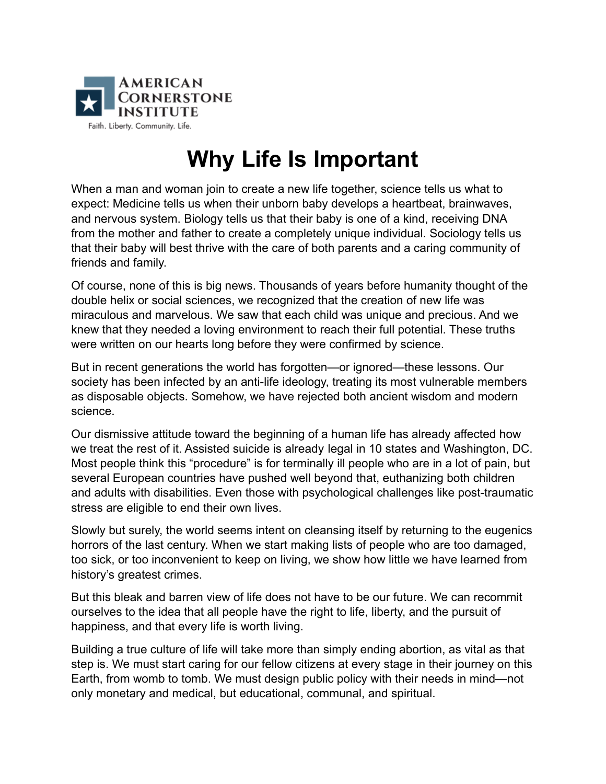

## **Why Life Is Important**

When a man and woman join to create a new life together, science tells us what to expect: Medicine tells us when their unborn baby develops a heartbeat, brainwaves, and nervous system. Biology tells us that their baby is one of a kind, receiving DNA from the mother and father to create a completely unique individual. Sociology tells us that their baby will best thrive with the care of both parents and a caring community of friends and family.

Of course, none of this is big news. Thousands of years before humanity thought of the double helix or social sciences, we recognized that the creation of new life was miraculous and marvelous. We saw that each child was unique and precious. And we knew that they needed a loving environment to reach their full potential. These truths were written on our hearts long before they were confirmed by science.

But in recent generations the world has forgotten—or ignored—these lessons. Our society has been infected by an anti-life ideology, treating its most vulnerable members as disposable objects. Somehow, we have rejected both ancient wisdom and modern science.

Our dismissive attitude toward the beginning of a human life has already affected how we treat the rest of it. Assisted suicide is already legal in 10 states and Washington, DC. Most people think this "procedure" is for terminally ill people who are in a lot of pain, but several European countries have pushed well beyond that, euthanizing both children and adults with disabilities. Even those with psychological challenges like post-traumatic stress are eligible to end their own lives.

Slowly but surely, the world seems intent on cleansing itself by returning to the eugenics horrors of the last century. When we start making lists of people who are too damaged, too sick, or too inconvenient to keep on living, we show how little we have learned from history's greatest crimes.

But this bleak and barren view of life does not have to be our future. We can recommit ourselves to the idea that all people have the right to life, liberty, and the pursuit of happiness, and that every life is worth living.

Building a true culture of life will take more than simply ending abortion, as vital as that step is. We must start caring for our fellow citizens at every stage in their journey on this Earth, from womb to tomb. We must design public policy with their needs in mind—not only monetary and medical, but educational, communal, and spiritual.